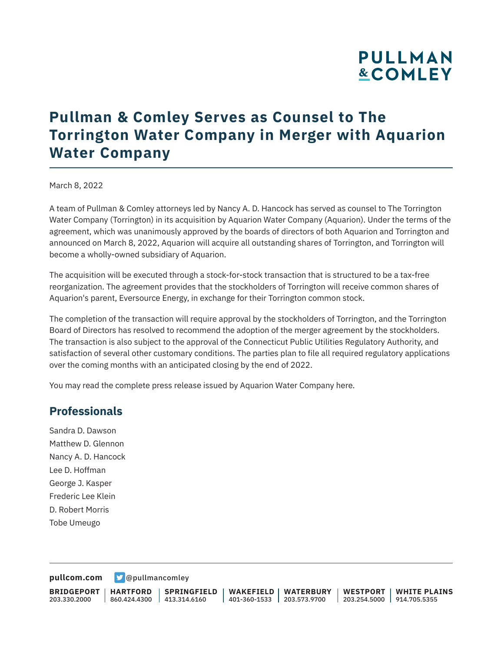# **PULLMAN &COMLEY**

# **Pullman & Comley Serves as Counsel to The Torrington Water Company in Merger with Aquarion Water Company**

#### March 8, 2022

A team of Pullman & Comley attorneys led by Nancy A. D. Hancock has served as counsel to The Torrington Water Company (Torrington) in its acquisition by Aquarion Water Company (Aquarion). Under the terms of the agreement, which was unanimously approved by the boards of directors of both Aquarion and Torrington and announced on March 8, 2022, Aquarion will acquire all outstanding shares of Torrington, and Torrington will become a wholly-owned subsidiary of Aquarion.

The acquisition will be executed through a stock-for-stock transaction that is structured to be a tax-free reorganization. The agreement provides that the stockholders of Torrington will receive common shares of Aquarion's parent, Eversource Energy, in exchange for their Torrington common stock.

The completion of the transaction will require approval by the stockholders of Torrington, and the Torrington Board of Directors has resolved to recommend the adoption of the merger agreement by the stockholders. The transaction is also subject to the approval of the Connecticut Public Utilities Regulatory Authority, and satisfaction of several other customary conditions. The parties plan to file all required regulatory applications over the coming months with an anticipated closing by the end of 2022.

You may read the complete press release issued by Aquarion Water Company here.

#### **Professionals**

Sandra D. Dawson Matthew D. Glennon Nancy A. D. Hancock Lee D. Hoffman George J. Kasper Frederic Lee Klein D. Robert Morris Tobe Umeugo

**[pullcom.com](https://www.pullcom.com) g** [@pullmancomley](https://twitter.com/PullmanComley)

**BRIDGEPORT** 203.330.2000

**HARTFORD**

860.424.4300 413.314.6160 **SPRINGFIELD** **WAKEFIELD WATERBURY** 401-360-1533 203.573.9700

**WESTPORT WHITE PLAINS** 203.254.5000 914.705.5355